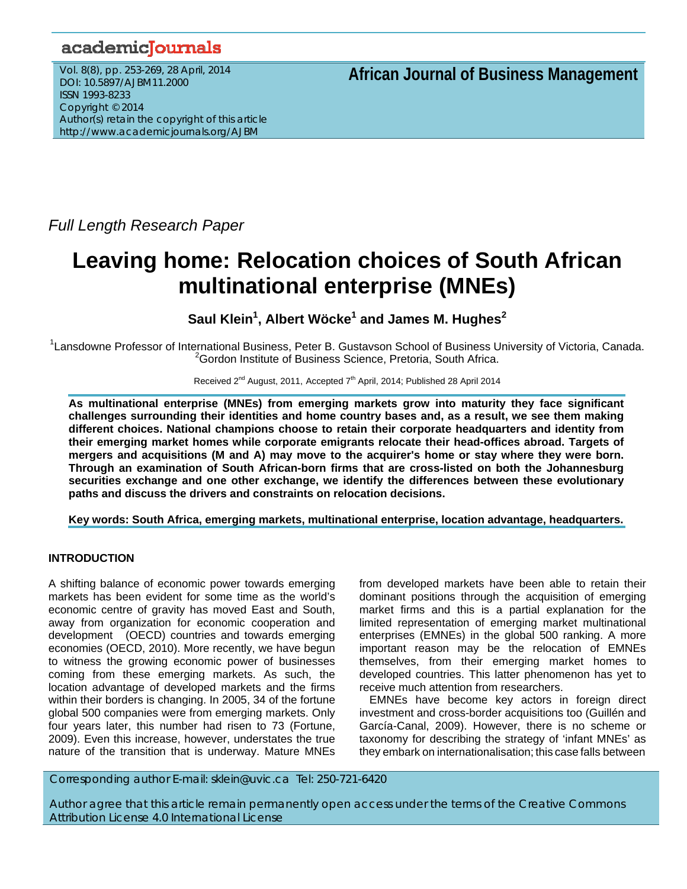# academicJournals

Vol. 8(8), pp. 253-269, 28 April, 2014 DOI: 10.5897/AJBM11.2000 ISSN 1993-8233 Copyright © 2014 Author(s) retain the copyright of this article http://www.academicjournals.org/AJBM

**African Journal of Business Management**

*Full Length Research Paper* 

# **Leaving home: Relocation choices of South African multinational enterprise (MNEs)**

**Saul Klein1 , Albert Wöcke1 and James M. Hughes<sup>2</sup>**

<sup>1</sup> Lansdowne Professor of International Business, Peter B. Gustavson School of Business University of Victoria, Canada. <sup>2</sup>Gordon Institute of Business Science, Pretoria, South Africa.

Received 2<sup>nd</sup> August, 2011, Accepted 7<sup>th</sup> April, 2014; Published 28 April 2014

**As multinational enterprise (MNEs) from emerging markets grow into maturity they face significant challenges surrounding their identities and home country bases and, as a result, we see them making different choices. National champions choose to retain their corporate headquarters and identity from their emerging market homes while corporate emigrants relocate their head-offices abroad. Targets of mergers and acquisitions (M and A) may move to the acquirer's home or stay where they were born. Through an examination of South African-born firms that are cross-listed on both the Johannesburg securities exchange and one other exchange, we identify the differences between these evolutionary paths and discuss the drivers and constraints on relocation decisions.** 

**Key words: South Africa, emerging markets, multinational enterprise, location advantage, headquarters.**

# **INTRODUCTION**

A shifting balance of economic power towards emerging markets has been evident for some time as the world's economic centre of gravity has moved East and South, away from organization for economic cooperation and development (OECD) countries and towards emerging economies (OECD, 2010). More recently, we have begun to witness the growing economic power of businesses coming from these emerging markets. As such, the location advantage of developed markets and the firms within their borders is changing. In 2005, 34 of the fortune global 500 companies were from emerging markets. Only four years later, this number had risen to 73 (Fortune, 2009). Even this increase, however, understates the true nature of the transition that is underway. Mature MNEs

from developed markets have been able to retain their dominant positions through the acquisition of emerging market firms and this is a partial explanation for the limited representation of emerging market multinational enterprises (EMNEs) in the global 500 ranking. A more important reason may be the relocation of EMNEs themselves, from their emerging market homes to developed countries. This latter phenomenon has yet to receive much attention from researchers.

EMNEs have become key actors in foreign direct investment and cross-border acquisitions too (Guillén and García-Canal, 2009). However, there is no scheme or taxonomy for describing the strategy of 'infant MNEs' as they embark on internationalisation; this case falls between

Corresponding author E-mail: sklein@uvic.ca Tel: 250-721-6420

Author agree that this article remain permanently open access under the terms of the Creative Commons Attribution License 4.0 International License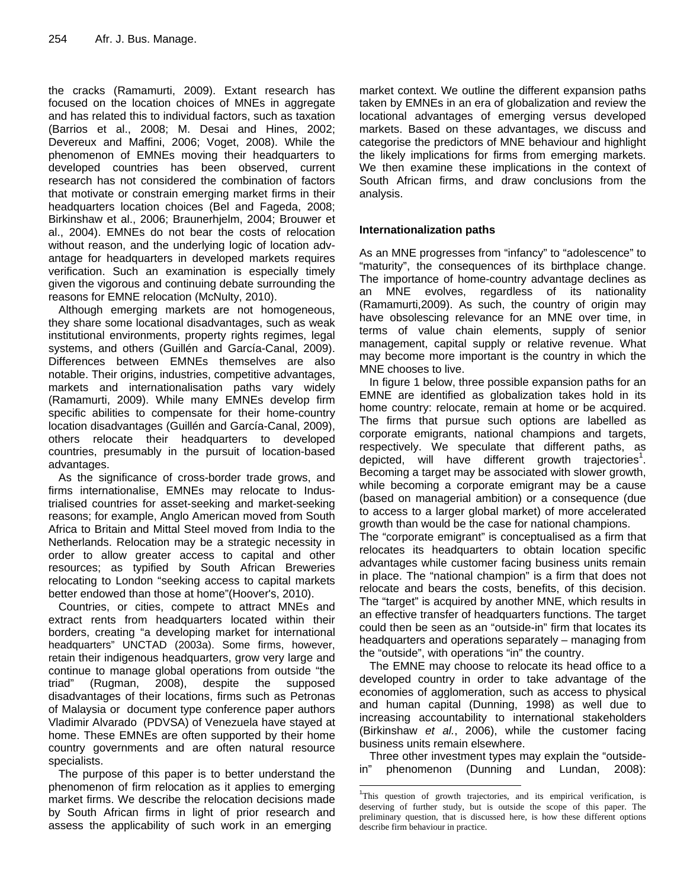the cracks (Ramamurti, 2009). Extant research has focused on the location choices of MNEs in aggregate and has related this to individual factors, such as taxation (Barrios et al., 2008; M. Desai and Hines, 2002; Devereux and Maffini, 2006; Voget, 2008). While the phenomenon of EMNEs moving their headquarters to developed countries has been observed, current research has not considered the combination of factors that motivate or constrain emerging market firms in their headquarters location choices (Bel and Fageda, 2008; Birkinshaw et al., 2006; Braunerhjelm, 2004; Brouwer et al., 2004). EMNEs do not bear the costs of relocation without reason, and the underlying logic of location advantage for headquarters in developed markets requires verification. Such an examination is especially timely given the vigorous and continuing debate surrounding the reasons for EMNE relocation (McNulty, 2010).

Although emerging markets are not homogeneous, they share some locational disadvantages, such as weak institutional environments, property rights regimes, legal systems, and others (Guillén and García-Canal, 2009). Differences between EMNEs themselves are also notable. Their origins, industries, competitive advantages, markets and internationalisation paths vary widely (Ramamurti, 2009). While many EMNEs develop firm specific abilities to compensate for their home-country location disadvantages (Guillén and García-Canal, 2009), others relocate their headquarters to developed countries, presumably in the pursuit of location-based advantages.

As the significance of cross-border trade grows, and firms internationalise, EMNEs may relocate to Industrialised countries for asset-seeking and market-seeking reasons; for example, Anglo American moved from South Africa to Britain and Mittal Steel moved from India to the Netherlands. Relocation may be a strategic necessity in order to allow greater access to capital and other resources; as typified by South African Breweries relocating to London "seeking access to capital markets better endowed than those at home"(Hoover's, 2010).

Countries, or cities, compete to attract MNEs and extract rents from headquarters located within their borders, creating "a developing market for international headquarters" UNCTAD (2003a). Some firms, however, retain their indigenous headquarters, grow very large and continue to manage global operations from outside "the triad" (Rugman, 2008), despite the supposed disadvantages of their locations, firms such as Petronas of Malaysia or document type conference paper authors Vladimir Alvarado (PDVSA) of Venezuela have stayed at home. These EMNEs are often supported by their home country governments and are often natural resource specialists.

The purpose of this paper is to better understand the phenomenon of firm relocation as it applies to emerging market firms. We describe the relocation decisions made by South African firms in light of prior research and assess the applicability of such work in an emerging

market context. We outline the different expansion paths taken by EMNEs in an era of globalization and review the locational advantages of emerging versus developed markets. Based on these advantages, we discuss and categorise the predictors of MNE behaviour and highlight the likely implications for firms from emerging markets. We then examine these implications in the context of South African firms, and draw conclusions from the analysis.

# **Internationalization paths**

As an MNE progresses from "infancy" to "adolescence" to "maturity", the consequences of its birthplace change. The importance of home-country advantage declines as an MNE evolves, regardless of its nationality (Ramamurti,2009). As such, the country of origin may have obsolescing relevance for an MNE over time, in terms of value chain elements, supply of senior management, capital supply or relative revenue. What may become more important is the country in which the MNE chooses to live.

In figure 1 below, three possible expansion paths for an EMNE are identified as globalization takes hold in its home country: relocate, remain at home or be acquired. The firms that pursue such options are labelled as corporate emigrants, national champions and targets, respectively. We speculate that different paths, as depicted, will have different growth trajectories<sup>1</sup>. Becoming a target may be associated with slower growth, while becoming a corporate emigrant may be a cause (based on managerial ambition) or a consequence (due to access to a larger global market) of more accelerated growth than would be the case for national champions.

The "corporate emigrant" is conceptualised as a firm that relocates its headquarters to obtain location specific advantages while customer facing business units remain in place. The "national champion" is a firm that does not relocate and bears the costs, benefits, of this decision. The "target" is acquired by another MNE, which results in an effective transfer of headquarters functions. The target could then be seen as an "outside-in" firm that locates its headquarters and operations separately – managing from the "outside", with operations "in" the country.

The EMNE may choose to relocate its head office to a developed country in order to take advantage of the economies of agglomeration, such as access to physical and human capital (Dunning, 1998) as well due to increasing accountability to international stakeholders (Birkinshaw *et al.*, 2006), while the customer facing business units remain elsewhere.

Three other investment types may explain the "outsidein" phenomenon (Dunning and Lundan, 2008):

<sup>&</sup>lt;sup>1</sup>This question of growth trajectories, and its empirical verification, is deserving of further study, but is outside the scope of this paper. The preliminary question, that is discussed here, is how these different options describe firm behaviour in practice.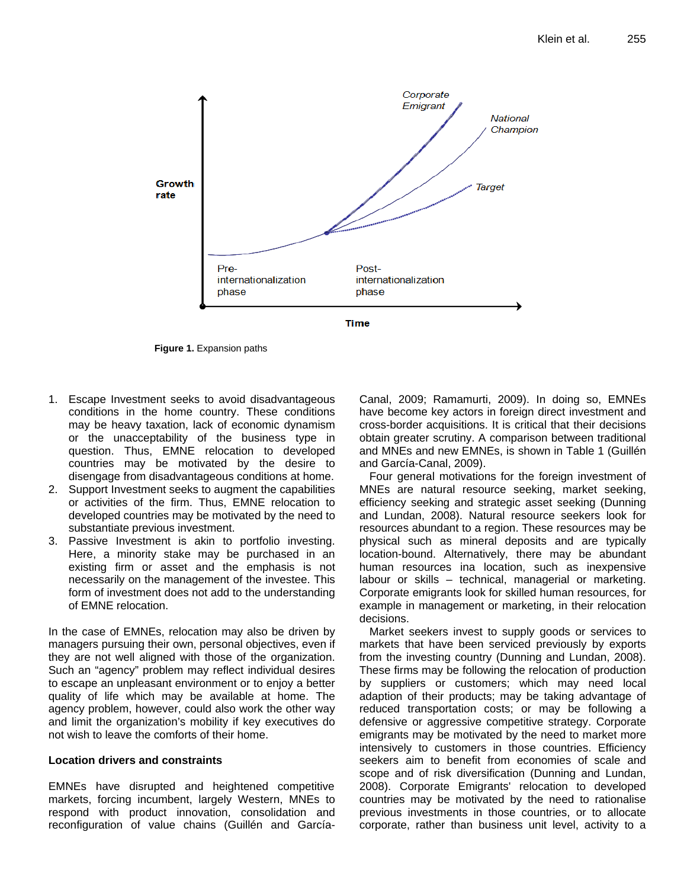

**Figure 1.** Expansion paths

- 1. Escape Investment seeks to avoid disadvantageous conditions in the home country. These conditions may be heavy taxation, lack of economic dynamism or the unacceptability of the business type in question. Thus, EMNE relocation to developed countries may be motivated by the desire to disengage from disadvantageous conditions at home.
- 2. Support Investment seeks to augment the capabilities or activities of the firm. Thus, EMNE relocation to developed countries may be motivated by the need to substantiate previous investment.
- 3. Passive Investment is akin to portfolio investing. Here, a minority stake may be purchased in an existing firm or asset and the emphasis is not necessarily on the management of the investee. This form of investment does not add to the understanding of EMNE relocation.

In the case of EMNEs, relocation may also be driven by managers pursuing their own, personal objectives, even if they are not well aligned with those of the organization. Such an "agency" problem may reflect individual desires to escape an unpleasant environment or to enjoy a better quality of life which may be available at home. The agency problem, however, could also work the other way and limit the organization's mobility if key executives do not wish to leave the comforts of their home.

# **Location drivers and constraints**

EMNEs have disrupted and heightened competitive markets, forcing incumbent, largely Western, MNEs to respond with product innovation, consolidation and reconfiguration of value chains (Guillén and GarcíaCanal, 2009; Ramamurti, 2009). In doing so, EMNEs have become key actors in foreign direct investment and cross-border acquisitions. It is critical that their decisions obtain greater scrutiny. A comparison between traditional and MNEs and new EMNEs, is shown in Table 1 (Guillén and García-Canal, 2009).

Four general motivations for the foreign investment of MNEs are natural resource seeking, market seeking, efficiency seeking and strategic asset seeking (Dunning and Lundan, 2008). Natural resource seekers look for resources abundant to a region. These resources may be physical such as mineral deposits and are typically location-bound. Alternatively, there may be abundant human resources ina location, such as inexpensive labour or skills – technical, managerial or marketing. Corporate emigrants look for skilled human resources, for example in management or marketing, in their relocation decisions.

Market seekers invest to supply goods or services to markets that have been serviced previously by exports from the investing country (Dunning and Lundan, 2008). These firms may be following the relocation of production by suppliers or customers; which may need local adaption of their products; may be taking advantage of reduced transportation costs; or may be following a defensive or aggressive competitive strategy. Corporate emigrants may be motivated by the need to market more intensively to customers in those countries. Efficiency seekers aim to benefit from economies of scale and scope and of risk diversification (Dunning and Lundan, 2008). Corporate Emigrants' relocation to developed countries may be motivated by the need to rationalise previous investments in those countries, or to allocate corporate, rather than business unit level, activity to a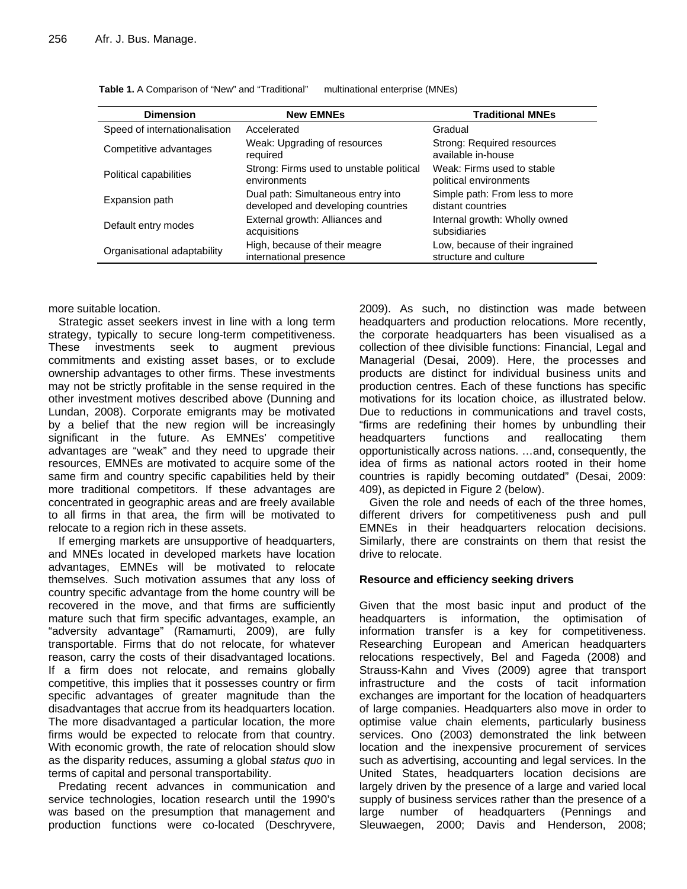| <b>Dimension</b>              | <b>New EMNEs</b>                                                         | <b>Traditional MNEs</b>                                  |
|-------------------------------|--------------------------------------------------------------------------|----------------------------------------------------------|
| Speed of internationalisation | Accelerated                                                              | Gradual                                                  |
| Competitive advantages        | Weak: Upgrading of resources<br>required                                 | Strong: Required resources<br>available in-house         |
| Political capabilities        | Strong: Firms used to unstable political<br>environments                 | Weak: Firms used to stable<br>political environments     |
| Expansion path                | Dual path: Simultaneous entry into<br>developed and developing countries | Simple path: From less to more<br>distant countries      |
| Default entry modes           | External growth: Alliances and<br>acquisitions                           | Internal growth: Wholly owned<br>subsidiaries            |
| Organisational adaptability   | High, because of their meagre<br>international presence                  | Low, because of their ingrained<br>structure and culture |

**Table 1.** A Comparison of "New" and "Traditional" multinational enterprise (MNEs)

more suitable location.

Strategic asset seekers invest in line with a long term strategy, typically to secure long-term competitiveness. These investments seek to augment previous commitments and existing asset bases, or to exclude ownership advantages to other firms. These investments may not be strictly profitable in the sense required in the other investment motives described above (Dunning and Lundan, 2008). Corporate emigrants may be motivated by a belief that the new region will be increasingly significant in the future. As EMNEs' competitive advantages are "weak" and they need to upgrade their resources, EMNEs are motivated to acquire some of the same firm and country specific capabilities held by their more traditional competitors. If these advantages are concentrated in geographic areas and are freely available to all firms in that area, the firm will be motivated to relocate to a region rich in these assets.

If emerging markets are unsupportive of headquarters, and MNEs located in developed markets have location advantages, EMNEs will be motivated to relocate themselves. Such motivation assumes that any loss of country specific advantage from the home country will be recovered in the move, and that firms are sufficiently mature such that firm specific advantages, example, an "adversity advantage" (Ramamurti, 2009), are fully transportable. Firms that do not relocate, for whatever reason, carry the costs of their disadvantaged locations. If a firm does not relocate, and remains globally competitive, this implies that it possesses country or firm specific advantages of greater magnitude than the disadvantages that accrue from its headquarters location. The more disadvantaged a particular location, the more firms would be expected to relocate from that country. With economic growth, the rate of relocation should slow as the disparity reduces, assuming a global *status quo* in terms of capital and personal transportability.

Predating recent advances in communication and service technologies, location research until the 1990's was based on the presumption that management and production functions were co-located (Deschryvere, 2009). As such, no distinction was made between headquarters and production relocations. More recently, the corporate headquarters has been visualised as a collection of thee divisible functions: Financial, Legal and Managerial (Desai, 2009). Here, the processes and products are distinct for individual business units and production centres. Each of these functions has specific motivations for its location choice, as illustrated below. Due to reductions in communications and travel costs, "firms are redefining their homes by unbundling their headquarters functions and reallocating them opportunistically across nations. …and, consequently, the idea of firms as national actors rooted in their home countries is rapidly becoming outdated" (Desai, 2009: 409), as depicted in Figure 2 (below).

Given the role and needs of each of the three homes, different drivers for competitiveness push and pull EMNEs in their headquarters relocation decisions. Similarly, there are constraints on them that resist the drive to relocate.

# **Resource and efficiency seeking drivers**

Given that the most basic input and product of the headquarters is information, the optimisation of information transfer is a key for competitiveness. Researching European and American headquarters relocations respectively, Bel and Fageda (2008) and Strauss-Kahn and Vives (2009) agree that transport infrastructure and the costs of tacit information exchanges are important for the location of headquarters of large companies. Headquarters also move in order to optimise value chain elements, particularly business services. Ono (2003) demonstrated the link between location and the inexpensive procurement of services such as advertising, accounting and legal services. In the United States, headquarters location decisions are largely driven by the presence of a large and varied local supply of business services rather than the presence of a large number of headquarters (Pennings and Sleuwaegen, 2000; Davis and Henderson, 2008;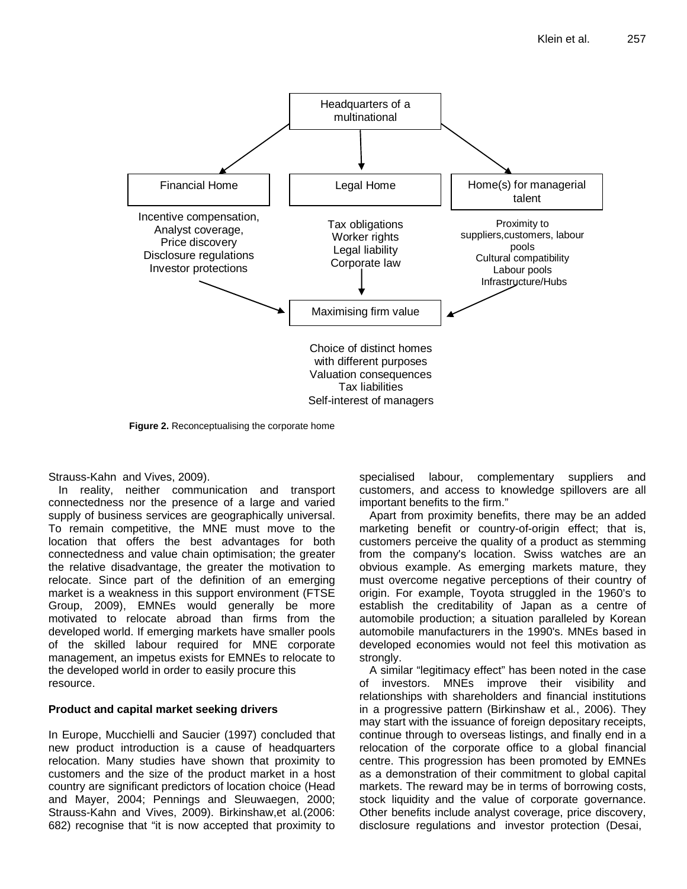

**Figure 2.** Reconceptualising the corporate home

Strauss-Kahn and Vives, 2009).

In reality, neither communication and transport connectedness nor the presence of a large and varied supply of business services are geographically universal. To remain competitive, the MNE must move to the location that offers the best advantages for both connectedness and value chain optimisation; the greater the relative disadvantage, the greater the motivation to relocate. Since part of the definition of an emerging market is a weakness in this support environment (FTSE Group, 2009), EMNEs would generally be more motivated to relocate abroad than firms from the developed world. If emerging markets have smaller pools of the skilled labour required for MNE corporate management, an impetus exists for EMNEs to relocate to the developed world in order to easily procure this resource.

# **Product and capital market seeking drivers**

In Europe, Mucchielli and Saucier (1997) concluded that new product introduction is a cause of headquarters relocation. Many studies have shown that proximity to customers and the size of the product market in a host country are significant predictors of location choice (Head and Mayer, 2004; Pennings and Sleuwaegen, 2000; Strauss-Kahn and Vives, 2009). Birkinshaw,et al*.*(2006: 682) recognise that "it is now accepted that proximity to specialised labour, complementary suppliers and customers, and access to knowledge spillovers are all important benefits to the firm."

Apart from proximity benefits, there may be an added marketing benefit or country-of-origin effect; that is, customers perceive the quality of a product as stemming from the company's location. Swiss watches are an obvious example. As emerging markets mature, they must overcome negative perceptions of their country of origin. For example, Toyota struggled in the 1960's to establish the creditability of Japan as a centre of automobile production; a situation paralleled by Korean automobile manufacturers in the 1990's. MNEs based in developed economies would not feel this motivation as strongly.

A similar "legitimacy effect" has been noted in the case of investors. MNEs improve their visibility and relationships with shareholders and financial institutions in a progressive pattern (Birkinshaw et al*.*, 2006). They may start with the issuance of foreign depositary receipts, continue through to overseas listings, and finally end in a relocation of the corporate office to a global financial centre. This progression has been promoted by EMNEs as a demonstration of their commitment to global capital markets. The reward may be in terms of borrowing costs, stock liquidity and the value of corporate governance. Other benefits include analyst coverage, price discovery, disclosure regulations and investor protection (Desai,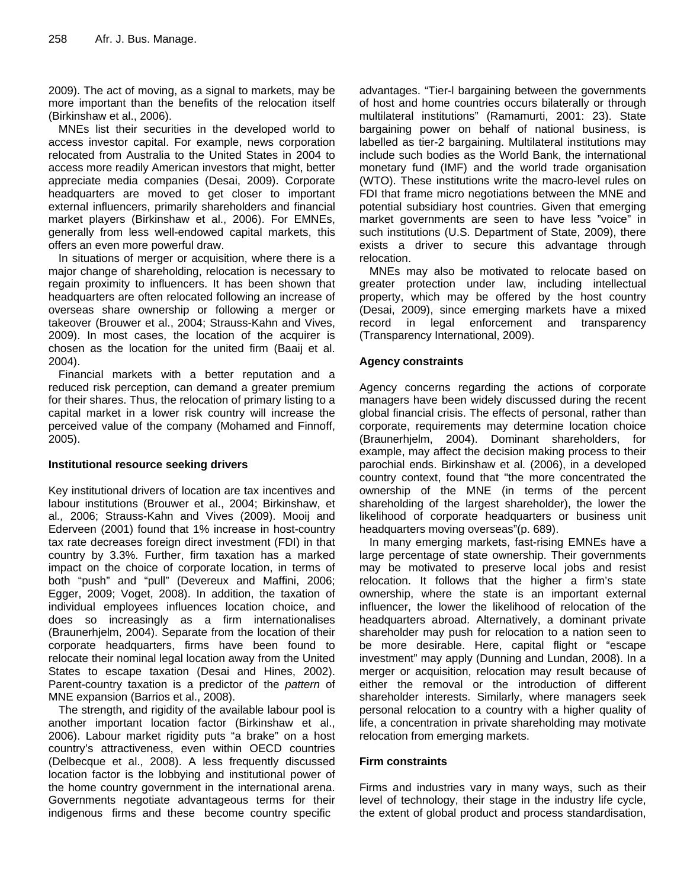2009). The act of moving, as a signal to markets, may be more important than the benefits of the relocation itself (Birkinshaw et al., 2006).

MNEs list their securities in the developed world to access investor capital. For example, news corporation relocated from Australia to the United States in 2004 to access more readily American investors that might, better appreciate media companies (Desai, 2009). Corporate headquarters are moved to get closer to important external influencers, primarily shareholders and financial market players (Birkinshaw et al., 2006). For EMNEs, generally from less well-endowed capital markets, this offers an even more powerful draw.

In situations of merger or acquisition, where there is a major change of shareholding, relocation is necessary to regain proximity to influencers. It has been shown that headquarters are often relocated following an increase of overseas share ownership or following a merger or takeover (Brouwer et al., 2004; Strauss-Kahn and Vives, 2009). In most cases, the location of the acquirer is chosen as the location for the united firm (Baaij et al. 2004).

Financial markets with a better reputation and a reduced risk perception, can demand a greater premium for their shares. Thus, the relocation of primary listing to a capital market in a lower risk country will increase the perceived value of the company (Mohamed and Finnoff, 2005).

# **Institutional resource seeking drivers**

Key institutional drivers of location are tax incentives and labour institutions (Brouwer et al., 2004; Birkinshaw, et al*.,* 2006; Strauss-Kahn and Vives (2009). Mooij and Ederveen (2001) found that 1% increase in host-country tax rate decreases foreign direct investment (FDI) in that country by 3.3%. Further, firm taxation has a marked impact on the choice of corporate location, in terms of both "push" and "pull" (Devereux and Maffini, 2006; Egger, 2009; Voget, 2008). In addition, the taxation of individual employees influences location choice, and does so increasingly as a firm internationalises (Braunerhjelm, 2004). Separate from the location of their corporate headquarters, firms have been found to relocate their nominal legal location away from the United States to escape taxation (Desai and Hines, 2002). Parent-country taxation is a predictor of the *pattern* of MNE expansion (Barrios et al., 2008).

The strength, and rigidity of the available labour pool is another important location factor (Birkinshaw et al., 2006). Labour market rigidity puts "a brake" on a host country's attractiveness, even within OECD countries (Delbecque et al., 2008). A less frequently discussed location factor is the lobbying and institutional power of the home country government in the international arena. Governments negotiate advantageous terms for their indigenous firms and these become country specific

advantages. "Tier-l bargaining between the governments of host and home countries occurs bilaterally or through multilateral institutions" (Ramamurti, 2001: 23). State bargaining power on behalf of national business, is labelled as tier-2 bargaining. Multilateral institutions may include such bodies as the World Bank, the international monetary fund (IMF) and the world trade organisation (WTO). These institutions write the macro-level rules on FDI that frame micro negotiations between the MNE and potential subsidiary host countries. Given that emerging market governments are seen to have less "voice" in such institutions (U.S. Department of State, 2009), there exists a driver to secure this advantage through relocation.

MNEs may also be motivated to relocate based on greater protection under law, including intellectual property, which may be offered by the host country (Desai, 2009), since emerging markets have a mixed record in legal enforcement and transparency (Transparency International, 2009).

# **Agency constraints**

Agency concerns regarding the actions of corporate managers have been widely discussed during the recent global financial crisis. The effects of personal, rather than corporate, requirements may determine location choice (Braunerhjelm, 2004). Dominant shareholders, for example, may affect the decision making process to their parochial ends. Birkinshaw et al*.* (2006), in a developed country context, found that "the more concentrated the ownership of the MNE (in terms of the percent shareholding of the largest shareholder), the lower the likelihood of corporate headquarters or business unit headquarters moving overseas"(p. 689).

In many emerging markets, fast-rising EMNEs have a large percentage of state ownership. Their governments may be motivated to preserve local jobs and resist relocation. It follows that the higher a firm's state ownership, where the state is an important external influencer, the lower the likelihood of relocation of the headquarters abroad. Alternatively, a dominant private shareholder may push for relocation to a nation seen to be more desirable. Here, capital flight or "escape investment" may apply (Dunning and Lundan, 2008). In a merger or acquisition, relocation may result because of either the removal or the introduction of different shareholder interests. Similarly, where managers seek personal relocation to a country with a higher quality of life, a concentration in private shareholding may motivate relocation from emerging markets.

# **Firm constraints**

Firms and industries vary in many ways, such as their level of technology, their stage in the industry life cycle, the extent of global product and process standardisation,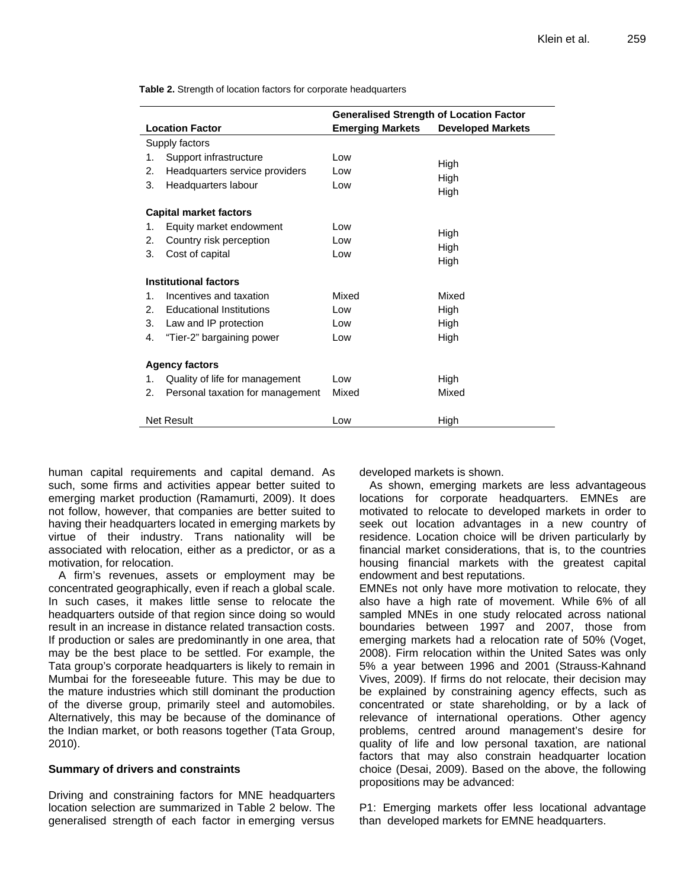|    | <b>Generalised Strength of Location Factor</b> |                         |                          |  |
|----|------------------------------------------------|-------------------------|--------------------------|--|
|    | <b>Location Factor</b>                         | <b>Emerging Markets</b> | <b>Developed Markets</b> |  |
|    | Supply factors                                 |                         |                          |  |
| 1. | Support infrastructure                         | Low                     | High                     |  |
| 2. | Headquarters service providers                 | Low                     | High                     |  |
| 3. | Headquarters labour                            | Low                     | High                     |  |
|    | <b>Capital market factors</b>                  |                         |                          |  |
| 1. | Equity market endowment                        | Low                     |                          |  |
| 2. | Country risk perception                        | Low                     | High                     |  |
| 3. | Cost of capital                                | Low                     | High<br>High             |  |
|    |                                                |                         |                          |  |
|    | <b>Institutional factors</b>                   |                         |                          |  |
| 1. | Incentives and taxation                        | Mixed                   | Mixed                    |  |
| 2. | <b>Educational Institutions</b>                | Low                     | High                     |  |
| 3. | Law and IP protection                          | Low                     | High                     |  |
| 4. | "Tier-2" bargaining power                      | Low                     | High                     |  |
|    |                                                |                         |                          |  |
|    | <b>Agency factors</b>                          |                         |                          |  |
| 1. | Quality of life for management                 | Low                     | High                     |  |
| 2. | Personal taxation for management               | Mixed                   | Mixed                    |  |
|    |                                                |                         |                          |  |
|    | <b>Net Result</b><br>High<br>Low               |                         |                          |  |

**Table 2.** Strength of location factors for corporate headquarters

human capital requirements and capital demand. As such, some firms and activities appear better suited to emerging market production (Ramamurti, 2009). It does not follow, however, that companies are better suited to having their headquarters located in emerging markets by virtue of their industry. Trans nationality will be associated with relocation, either as a predictor, or as a motivation, for relocation.

A firm's revenues, assets or employment may be concentrated geographically, even if reach a global scale. In such cases, it makes little sense to relocate the headquarters outside of that region since doing so would result in an increase in distance related transaction costs. If production or sales are predominantly in one area, that may be the best place to be settled. For example, the Tata group's corporate headquarters is likely to remain in Mumbai for the foreseeable future. This may be due to the mature industries which still dominant the production of the diverse group, primarily steel and automobiles. Alternatively, this may be because of the dominance of the Indian market, or both reasons together (Tata Group, 2010).

# **Summary of drivers and constraints**

Driving and constraining factors for MNE headquarters location selection are summarized in Table 2 below. The generalised strength of each factor in emerging versus developed markets is shown.

As shown, emerging markets are less advantageous locations for corporate headquarters. EMNEs are motivated to relocate to developed markets in order to seek out location advantages in a new country of residence. Location choice will be driven particularly by financial market considerations, that is, to the countries housing financial markets with the greatest capital endowment and best reputations.

EMNEs not only have more motivation to relocate, they also have a high rate of movement. While 6% of all sampled MNEs in one study relocated across national boundaries between 1997 and 2007, those from emerging markets had a relocation rate of 50% (Voget, 2008). Firm relocation within the United Sates was only 5% a year between 1996 and 2001 (Strauss-Kahnand Vives, 2009). If firms do not relocate, their decision may be explained by constraining agency effects, such as concentrated or state shareholding, or by a lack of relevance of international operations. Other agency problems, centred around management's desire for quality of life and low personal taxation, are national factors that may also constrain headquarter location choice (Desai, 2009). Based on the above, the following propositions may be advanced:

P1: Emerging markets offer less locational advantage than developed markets for EMNE headquarters.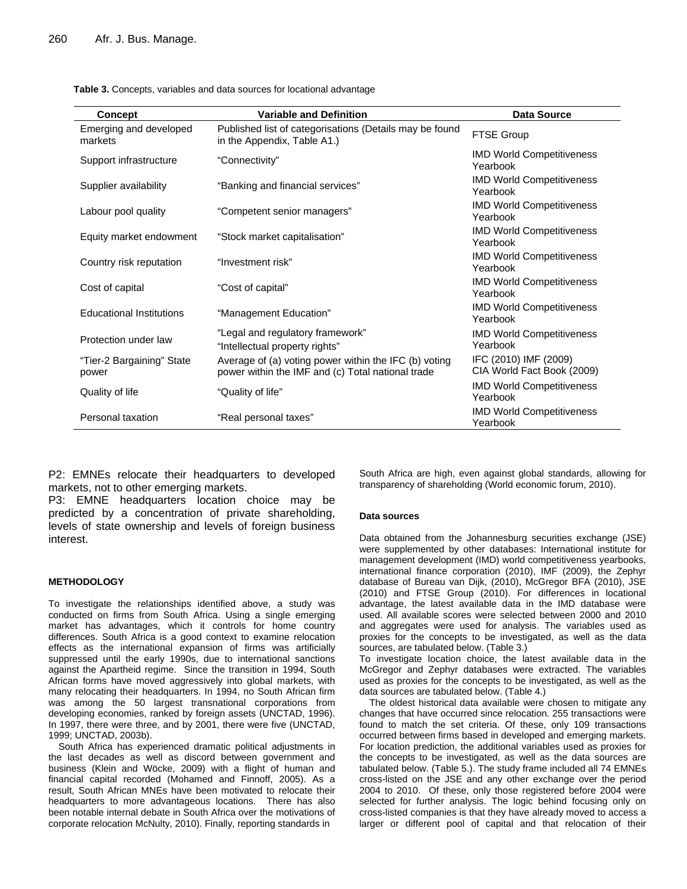| Concept                            | <b>Variable and Definition</b>                                                                             | Data Source                                         |
|------------------------------------|------------------------------------------------------------------------------------------------------------|-----------------------------------------------------|
| Emerging and developed<br>markets  | Published list of categorisations (Details may be found<br>in the Appendix, Table A1.)                     | <b>FTSE Group</b>                                   |
| Support infrastructure             | "Connectivity"                                                                                             | <b>IMD World Competitiveness</b><br>Yearbook        |
| Supplier availability              | "Banking and financial services"                                                                           | <b>IMD World Competitiveness</b><br>Yearbook        |
| Labour pool quality                | "Competent senior managers"                                                                                | <b>IMD World Competitiveness</b><br>Yearbook        |
| Equity market endowment            | "Stock market capitalisation"                                                                              | <b>IMD World Competitiveness</b><br>Yearbook        |
| Country risk reputation            | "Investment risk"                                                                                          | <b>IMD World Competitiveness</b><br>Yearbook        |
| Cost of capital                    | "Cost of capital"                                                                                          | <b>IMD World Competitiveness</b><br>Yearbook        |
| <b>Educational Institutions</b>    | "Management Education"                                                                                     | <b>IMD World Competitiveness</b><br>Yearbook        |
| Protection under law               | "Legal and regulatory framework"<br>"Intellectual property rights"                                         | <b>IMD World Competitiveness</b><br>Yearbook        |
| "Tier-2 Bargaining" State<br>power | Average of (a) voting power within the IFC (b) voting<br>power within the IMF and (c) Total national trade | IFC (2010) IMF (2009)<br>CIA World Fact Book (2009) |
| Quality of life                    | "Quality of life"                                                                                          | <b>IMD World Competitiveness</b><br>Yearbook        |
| Personal taxation                  | "Real personal taxes"                                                                                      | <b>IMD World Competitiveness</b><br>Yearbook        |

**Table 3.** Concepts, variables and data sources for locational advantage

P2: EMNEs relocate their headquarters to developed markets, not to other emerging markets.

P3: EMNE headquarters location choice may be predicted by a concentration of private shareholding, levels of state ownership and levels of foreign business interest.

#### **METHODOLOGY**

To investigate the relationships identified above, a study was conducted on firms from South Africa. Using a single emerging market has advantages, which it controls for home country differences. South Africa is a good context to examine relocation effects as the international expansion of firms was artificially suppressed until the early 1990s, due to international sanctions against the Apartheid regime. Since the transition in 1994, South African forms have moved aggressively into global markets, with many relocating their headquarters. In 1994, no South African firm was among the 50 largest transnational corporations from developing economies, ranked by foreign assets (UNCTAD, 1996). In 1997, there were three, and by 2001, there were five (UNCTAD, 1999; UNCTAD, 2003b).

South Africa has experienced dramatic political adjustments in the last decades as well as discord between government and business (Klein and Wöcke, 2009) with a flight of human and financial capital recorded (Mohamed and Finnoff, 2005). As a result, South African MNEs have been motivated to relocate their headquarters to more advantageous locations. There has also been notable internal debate in South Africa over the motivations of corporate relocation McNulty, 2010). Finally, reporting standards in

South Africa are high, even against global standards, allowing for transparency of shareholding (World economic forum, 2010).

#### **Data sources**

Data obtained from the Johannesburg securities exchange (JSE) were supplemented by other databases: International institute for management development (IMD) world competitiveness yearbooks, international finance corporation (2010), IMF (2009), the Zephyr database of Bureau van Dijk, (2010), McGregor BFA (2010), JSE (2010) and FTSE Group (2010). For differences in locational advantage, the latest available data in the IMD database were used. All available scores were selected between 2000 and 2010 and aggregates were used for analysis. The variables used as proxies for the concepts to be investigated, as well as the data sources, are tabulated below. (Table 3.)

To investigate location choice, the latest available data in the McGregor and Zephyr databases were extracted. The variables used as proxies for the concepts to be investigated, as well as the data sources are tabulated below. (Table 4.)

The oldest historical data available were chosen to mitigate any changes that have occurred since relocation. 255 transactions were found to match the set criteria. Of these, only 109 transactions occurred between firms based in developed and emerging markets. For location prediction, the additional variables used as proxies for the concepts to be investigated, as well as the data sources are tabulated below. (Table 5.). The study frame included all 74 EMNEs cross-listed on the JSE and any other exchange over the period 2004 to 2010. Of these, only those registered before 2004 were selected for further analysis. The logic behind focusing only on cross-listed companies is that they have already moved to access a larger or different pool of capital and that relocation of their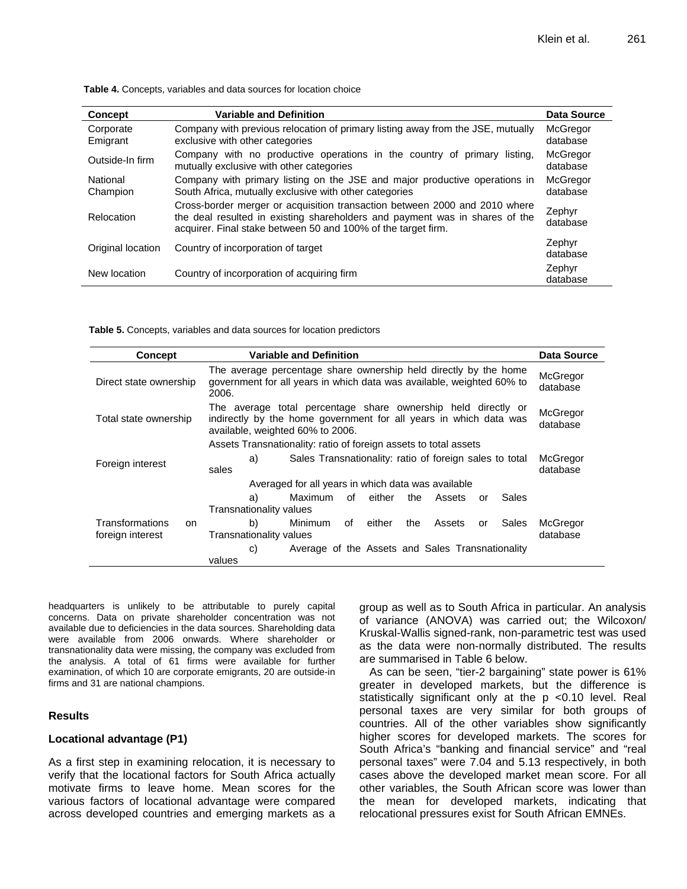| <b>Concept</b>        | <b>Variable and Definition</b>                                                                                                                                                                                             | Data Source          |
|-----------------------|----------------------------------------------------------------------------------------------------------------------------------------------------------------------------------------------------------------------------|----------------------|
| Corporate<br>Emigrant | Company with previous relocation of primary listing away from the JSE, mutually<br>exclusive with other categories                                                                                                         | McGregor<br>database |
| Outside-In firm       | Company with no productive operations in the country of primary listing,<br>mutually exclusive with other categories                                                                                                       | McGregor<br>database |
| National<br>Champion  | Company with primary listing on the JSE and major productive operations in<br>South Africa, mutually exclusive with other categories                                                                                       | McGregor<br>database |
| Relocation            | Cross-border merger or acquisition transaction between 2000 and 2010 where<br>the deal resulted in existing shareholders and payment was in shares of the<br>acquirer. Final stake between 50 and 100% of the target firm. | Zephyr<br>database   |
| Original location     | Country of incorporation of target                                                                                                                                                                                         | Zephyr<br>database   |
| New location          | Country of incorporation of acquiring firm                                                                                                                                                                                 | Zephyr<br>database   |

**Table 4.** Concepts, variables and data sources for location choice

**Table 5.** Concepts, variables and data sources for location predictors

| <b>Concept</b>                             | <b>Variable and Definition</b>                                                                                                                                         | <b>Data Source</b>   |
|--------------------------------------------|------------------------------------------------------------------------------------------------------------------------------------------------------------------------|----------------------|
| Direct state ownership                     | The average percentage share ownership held directly by the home<br>government for all years in which data was available, weighted 60% to<br>2006.                     | McGregor<br>database |
| Total state ownership                      | The average total percentage share ownership held directly or<br>indirectly by the home government for all years in which data was<br>available, weighted 60% to 2006. | McGregor<br>database |
|                                            | Assets Transnationality: ratio of foreign assets to total assets                                                                                                       |                      |
| Foreign interest                           | Sales Transnationality: ratio of foreign sales to total<br>a)<br>sales                                                                                                 | McGregor<br>database |
|                                            | Averaged for all years in which data was available                                                                                                                     |                      |
|                                            | Maximum<br>Sales<br>a)<br>of<br>either<br>the<br>Assets<br>or<br>Transnationality values                                                                               |                      |
| Transformations<br>on.<br>foreign interest | b)<br>Minimum<br>οf<br>either<br>the<br>Sales<br>Assets<br>or<br>Transnationality values                                                                               | McGregor<br>database |
|                                            | Average of the Assets and Sales Transnationality<br>C)<br>values                                                                                                       |                      |

headquarters is unlikely to be attributable to purely capital concerns. Data on private shareholder concentration was not available due to deficiencies in the data sources. Shareholding data were available from 2006 onwards. Where shareholder or transnationality data were missing, the company was excluded from the analysis. A total of 61 firms were available for further examination, of which 10 are corporate emigrants, 20 are outside-in firms and 31 are national champions.

#### **Results**

#### **Locational advantage (P1)**

As a first step in examining relocation, it is necessary to verify that the locational factors for South Africa actually motivate firms to leave home. Mean scores for the various factors of locational advantage were compared across developed countries and emerging markets as a

group as well as to South Africa in particular. An analysis of variance (ANOVA) was carried out; the Wilcoxon/ Kruskal-Wallis signed-rank, non-parametric test was used as the data were non-normally distributed. The results are summarised in Table 6 below.

As can be seen, "tier-2 bargaining" state power is 61% greater in developed markets, but the difference is statistically significant only at the p <0.10 level. Real personal taxes are very similar for both groups of countries. All of the other variables show significantly higher scores for developed markets. The scores for South Africa's "banking and financial service" and "real personal taxes" were 7.04 and 5.13 respectively, in both cases above the developed market mean score. For all other variables, the South African score was lower than the mean for developed markets, indicating that relocational pressures exist for South African EMNEs.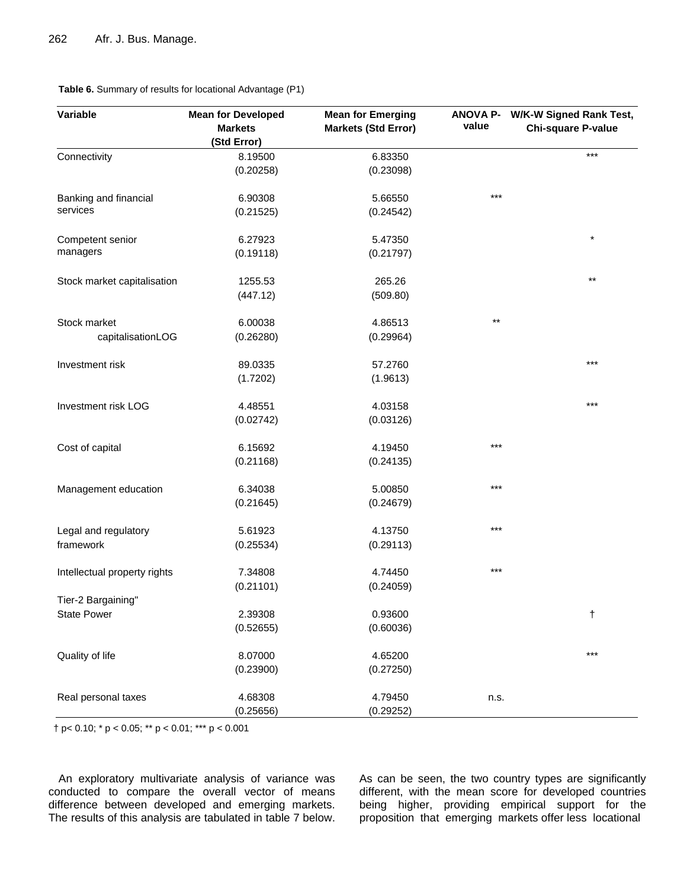#### **Table 6.** Summary of results for locational Advantage (P1)

| Variable                     | <b>Mean for Developed</b><br><b>Markets</b> | <b>Mean for Emerging</b><br><b>Markets (Std Error)</b> | value | ANOVA P- W/K-W Signed Rank Test,<br><b>Chi-square P-value</b> |
|------------------------------|---------------------------------------------|--------------------------------------------------------|-------|---------------------------------------------------------------|
|                              | (Std Error)                                 |                                                        |       |                                                               |
| Connectivity                 | 8.19500                                     | 6.83350                                                |       | $***$                                                         |
|                              | (0.20258)                                   | (0.23098)                                              |       |                                                               |
| Banking and financial        | 6.90308                                     | 5.66550                                                | $***$ |                                                               |
| services                     | (0.21525)                                   | (0.24542)                                              |       |                                                               |
| Competent senior             | 6.27923                                     | 5.47350                                                |       | $\star$                                                       |
| managers                     | (0.19118)                                   | (0.21797)                                              |       |                                                               |
| Stock market capitalisation  | 1255.53                                     | 265.26                                                 |       | $***$                                                         |
|                              | (447.12)                                    | (509.80)                                               |       |                                                               |
| Stock market                 | 6.00038                                     | 4.86513                                                | $***$ |                                                               |
| capitalisationLOG            | (0.26280)                                   | (0.29964)                                              |       |                                                               |
| Investment risk              | 89.0335                                     | 57.2760                                                |       | $***$                                                         |
|                              | (1.7202)                                    | (1.9613)                                               |       |                                                               |
| Investment risk LOG          | 4.48551                                     | 4.03158                                                |       | ***                                                           |
|                              | (0.02742)                                   | (0.03126)                                              |       |                                                               |
| Cost of capital              | 6.15692                                     | 4.19450                                                | $***$ |                                                               |
|                              | (0.21168)                                   | (0.24135)                                              |       |                                                               |
| Management education         | 6.34038                                     | 5.00850                                                | $***$ |                                                               |
|                              | (0.21645)                                   | (0.24679)                                              |       |                                                               |
| Legal and regulatory         | 5.61923                                     | 4.13750                                                | $***$ |                                                               |
| framework                    | (0.25534)                                   | (0.29113)                                              |       |                                                               |
| Intellectual property rights | 7.34808                                     | 4.74450                                                | $***$ |                                                               |
|                              | (0.21101)                                   | (0.24059)                                              |       |                                                               |
| Tier-2 Bargaining"           |                                             |                                                        |       |                                                               |
| <b>State Power</b>           | 2.39308                                     | 0.93600                                                |       | $\dagger$                                                     |
|                              | (0.52655)                                   | (0.60036)                                              |       |                                                               |
| Quality of life              | 8.07000                                     | 4.65200                                                |       | $***$                                                         |
|                              | (0.23900)                                   | (0.27250)                                              |       |                                                               |
| Real personal taxes          | 4.68308                                     | 4.79450                                                | n.s.  |                                                               |
|                              | (0.25656)                                   | (0.29252)                                              |       |                                                               |

† p< 0.10; \* p < 0.05; \*\* p < 0.01; \*\*\* p < 0.001

An exploratory multivariate analysis of variance was conducted to compare the overall vector of means difference between developed and emerging markets. The results of this analysis are tabulated in table 7 below. As can be seen, the two country types are significantly different, with the mean score for developed countries being higher, providing empirical support for the proposition that emerging markets offer less locational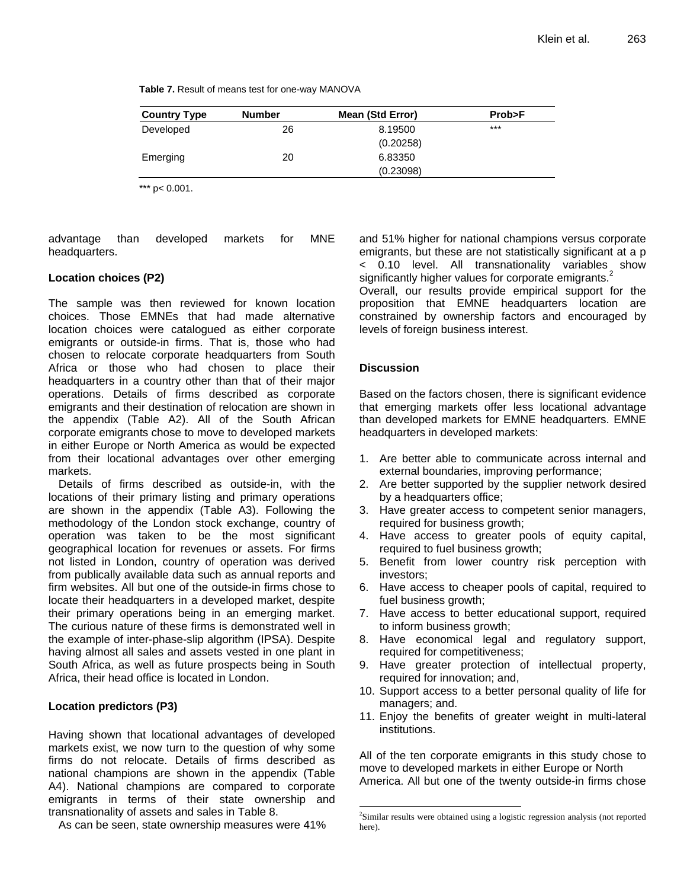**Table 7.** Result of means test for one-way MANOVA

| <b>Number</b> | Mean (Std Error) | <b>Prob&gt;F</b> |
|---------------|------------------|------------------|
| 26            | 8.19500          | $***$            |
|               | (0.20258)        |                  |
| 20            | 6.83350          |                  |
|               | (0.23098)        |                  |
|               |                  |                  |

\*\*\* p< 0.001.

advantage than developed markets for MNE headquarters.

# **Location choices (P2)**

The sample was then reviewed for known location choices. Those EMNEs that had made alternative location choices were catalogued as either corporate emigrants or outside-in firms. That is, those who had chosen to relocate corporate headquarters from South Africa or those who had chosen to place their headquarters in a country other than that of their major operations. Details of firms described as corporate emigrants and their destination of relocation are shown in the appendix (Table A2). All of the South African corporate emigrants chose to move to developed markets in either Europe or North America as would be expected from their locational advantages over other emerging markets.

Details of firms described as outside-in, with the locations of their primary listing and primary operations are shown in the appendix (Table A3). Following the methodology of the London stock exchange, country of operation was taken to be the most significant geographical location for revenues or assets. For firms not listed in London, country of operation was derived from publically available data such as annual reports and firm websites. All but one of the outside-in firms chose to locate their headquarters in a developed market, despite their primary operations being in an emerging market. The curious nature of these firms is demonstrated well in the example of inter-phase-slip algorithm (IPSA). Despite having almost all sales and assets vested in one plant in South Africa, as well as future prospects being in South Africa, their head office is located in London.

# **Location predictors (P3)**

Having shown that locational advantages of developed markets exist, we now turn to the question of why some firms do not relocate. Details of firms described as national champions are shown in the appendix (Table A4). National champions are compared to corporate emigrants in terms of their state ownership and transnationality of assets and sales in Table 8.

As can be seen, state ownership measures were 41%

and 51% higher for national champions versus corporate emigrants, but these are not statistically significant at a p < 0.10 level. All transnationality variables show significantly higher values for corporate emigrants.<sup>2</sup>

Overall, our results provide empirical support for the proposition that EMNE headquarters location are constrained by ownership factors and encouraged by levels of foreign business interest.

#### **Discussion**

Based on the factors chosen, there is significant evidence that emerging markets offer less locational advantage than developed markets for EMNE headquarters. EMNE headquarters in developed markets:

- 1. Are better able to communicate across internal and external boundaries, improving performance;
- 2. Are better supported by the supplier network desired by a headquarters office;
- 3. Have greater access to competent senior managers, required for business growth;
- 4. Have access to greater pools of equity capital, required to fuel business growth;
- 5. Benefit from lower country risk perception with investors;
- 6. Have access to cheaper pools of capital, required to fuel business growth;
- 7. Have access to better educational support, required to inform business growth;
- 8. Have economical legal and regulatory support, required for competitiveness;
- 9. Have greater protection of intellectual property, required for innovation; and,
- 10. Support access to a better personal quality of life for managers; and.
- 11. Enjoy the benefits of greater weight in multi-lateral institutions.

All of the ten corporate emigrants in this study chose to move to developed markets in either Europe or North America. All but one of the twenty outside-in firms chose

<sup>&</sup>lt;sup>2</sup>Similar results were obtained using a logistic regression analysis (not reported here).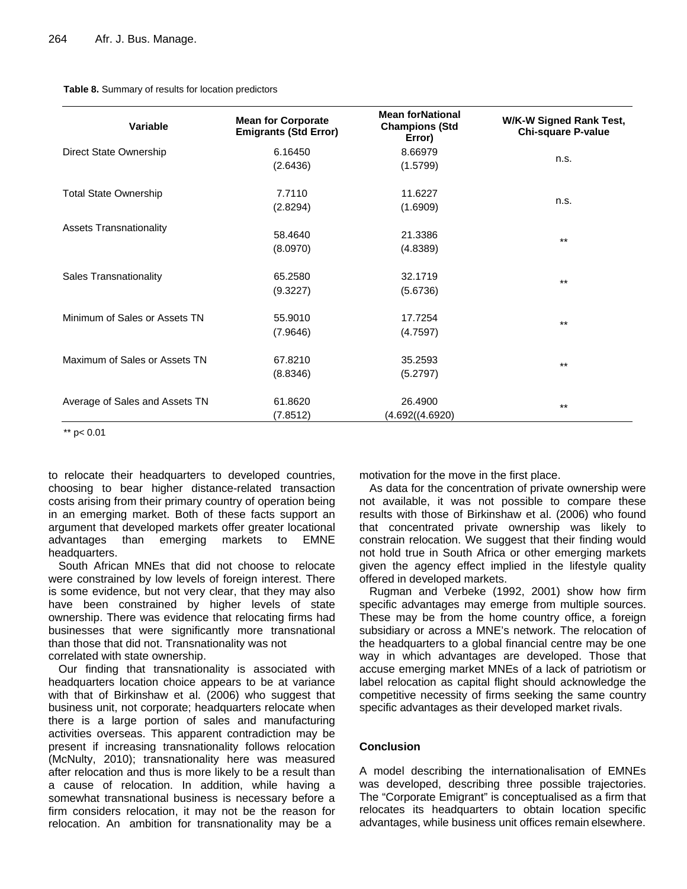#### **Table 8.** Summary of results for location predictors

| <b>Variable</b>                | <b>Mean for Corporate</b><br><b>Emigrants (Std Error)</b> | <b>Mean forNational</b><br><b>Champions (Std</b><br>Error) | W/K-W Signed Rank Test,<br><b>Chi-square P-value</b> |
|--------------------------------|-----------------------------------------------------------|------------------------------------------------------------|------------------------------------------------------|
| Direct State Ownership         | 6.16450                                                   | 8.66979                                                    |                                                      |
|                                | (2.6436)                                                  | (1.5799)                                                   | n.s.                                                 |
| <b>Total State Ownership</b>   | 7.7110                                                    | 11.6227                                                    |                                                      |
|                                | (2.8294)                                                  | (1.6909)                                                   | n.s.                                                 |
| <b>Assets Transnationality</b> |                                                           |                                                            |                                                      |
|                                | 58.4640                                                   | 21.3386                                                    | $***$                                                |
|                                | (8.0970)                                                  | (4.8389)                                                   |                                                      |
| <b>Sales Transnationality</b>  | 65.2580                                                   | 32.1719                                                    | $***$                                                |
|                                | (9.3227)                                                  | (5.6736)                                                   |                                                      |
| Minimum of Sales or Assets TN  | 55.9010                                                   | 17.7254                                                    | $***$                                                |
|                                | (7.9646)                                                  | (4.7597)                                                   |                                                      |
| Maximum of Sales or Assets TN  | 67.8210                                                   | 35.2593                                                    |                                                      |
|                                | (8.8346)                                                  | (5.2797)                                                   | $***$                                                |
| Average of Sales and Assets TN | 61.8620                                                   | 26.4900                                                    |                                                      |
|                                | (7.8512)                                                  | (4.692((4.6920)                                            | $***$                                                |
|                                |                                                           |                                                            |                                                      |

\*\*  $p < 0.01$ 

to relocate their headquarters to developed countries, choosing to bear higher distance-related transaction costs arising from their primary country of operation being in an emerging market. Both of these facts support an argument that developed markets offer greater locational advantages than emerging markets to EMNE headquarters.

South African MNEs that did not choose to relocate were constrained by low levels of foreign interest. There is some evidence, but not very clear, that they may also have been constrained by higher levels of state ownership. There was evidence that relocating firms had businesses that were significantly more transnational than those that did not. Transnationality was not correlated with state ownership.

Our finding that transnationality is associated with headquarters location choice appears to be at variance with that of Birkinshaw et al. (2006) who suggest that business unit, not corporate; headquarters relocate when there is a large portion of sales and manufacturing activities overseas. This apparent contradiction may be present if increasing transnationality follows relocation (McNulty, 2010); transnationality here was measured after relocation and thus is more likely to be a result than a cause of relocation. In addition, while having a somewhat transnational business is necessary before a firm considers relocation, it may not be the reason for relocation. An ambition for transnationality may be a

motivation for the move in the first place.

As data for the concentration of private ownership were not available, it was not possible to compare these results with those of Birkinshaw et al. (2006) who found that concentrated private ownership was likely to constrain relocation. We suggest that their finding would not hold true in South Africa or other emerging markets given the agency effect implied in the lifestyle quality offered in developed markets.

Rugman and Verbeke (1992, 2001) show how firm specific advantages may emerge from multiple sources. These may be from the home country office, a foreign subsidiary or across a MNE's network. The relocation of the headquarters to a global financial centre may be one way in which advantages are developed. Those that accuse emerging market MNEs of a lack of patriotism or label relocation as capital flight should acknowledge the competitive necessity of firms seeking the same country specific advantages as their developed market rivals.

# **Conclusion**

A model describing the internationalisation of EMNEs was developed, describing three possible trajectories. The "Corporate Emigrant" is conceptualised as a firm that relocates its headquarters to obtain location specific advantages, while business unit offices remain elsewhere.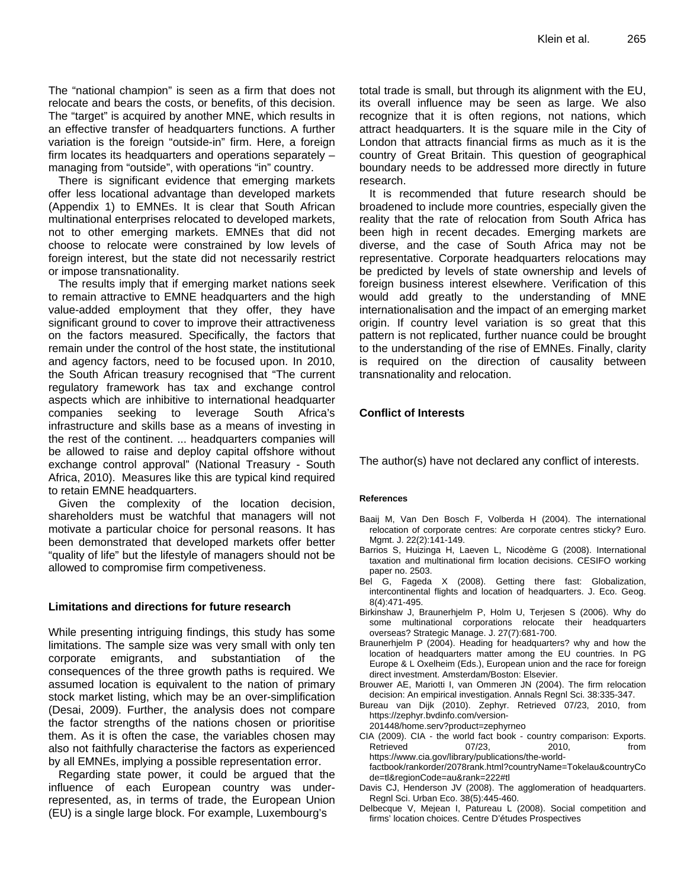The "national champion" is seen as a firm that does not relocate and bears the costs, or benefits, of this decision. The "target" is acquired by another MNE, which results in an effective transfer of headquarters functions. A further variation is the foreign "outside-in" firm. Here, a foreign firm locates its headquarters and operations separately – managing from "outside", with operations "in" country.

There is significant evidence that emerging markets offer less locational advantage than developed markets (Appendix 1) to EMNEs. It is clear that South African multinational enterprises relocated to developed markets, not to other emerging markets. EMNEs that did not choose to relocate were constrained by low levels of foreign interest, but the state did not necessarily restrict or impose transnationality.

The results imply that if emerging market nations seek to remain attractive to EMNE headquarters and the high value-added employment that they offer, they have significant ground to cover to improve their attractiveness on the factors measured. Specifically, the factors that remain under the control of the host state, the institutional and agency factors, need to be focused upon. In 2010, the South African treasury recognised that "The current regulatory framework has tax and exchange control aspects which are inhibitive to international headquarter companies seeking to leverage South Africa's infrastructure and skills base as a means of investing in the rest of the continent. ... headquarters companies will be allowed to raise and deploy capital offshore without exchange control approval" (National Treasury - South Africa, 2010). Measures like this are typical kind required to retain EMNE headquarters.

Given the complexity of the location decision, shareholders must be watchful that managers will not motivate a particular choice for personal reasons. It has been demonstrated that developed markets offer better "quality of life" but the lifestyle of managers should not be allowed to compromise firm competiveness.

#### **Limitations and directions for future research**

While presenting intriguing findings, this study has some limitations. The sample size was very small with only ten corporate emigrants, and substantiation of the consequences of the three growth paths is required. We assumed location is equivalent to the nation of primary stock market listing, which may be an over-simplification (Desai, 2009). Further, the analysis does not compare the factor strengths of the nations chosen or prioritise them. As it is often the case, the variables chosen may also not faithfully characterise the factors as experienced by all EMNEs, implying a possible representation error.

Regarding state power, it could be argued that the influence of each European country was underrepresented, as, in terms of trade, the European Union (EU) is a single large block. For example, Luxembourg's

total trade is small, but through its alignment with the EU, its overall influence may be seen as large. We also recognize that it is often regions, not nations, which attract headquarters. It is the square mile in the City of London that attracts financial firms as much as it is the country of Great Britain. This question of geographical boundary needs to be addressed more directly in future research.

It is recommended that future research should be broadened to include more countries, especially given the reality that the rate of relocation from South Africa has been high in recent decades. Emerging markets are diverse, and the case of South Africa may not be representative. Corporate headquarters relocations may be predicted by levels of state ownership and levels of foreign business interest elsewhere. Verification of this would add greatly to the understanding of MNE internationalisation and the impact of an emerging market origin. If country level variation is so great that this pattern is not replicated, further nuance could be brought to the understanding of the rise of EMNEs. Finally, clarity is required on the direction of causality between transnationality and relocation.

#### **Conflict of Interests**

The author(s) have not declared any conflict of interests.

#### **References**

- Baaij M, Van Den Bosch F, Volberda H (2004). The international relocation of corporate centres: Are corporate centres sticky? Euro. Mgmt. J. 22(2):141-149.
- Barrios S, Huizinga H, Laeven L, Nicodème G (2008). International taxation and multinational firm location decisions. CESIFO working paper no. 2503.
- Bel G, Fageda X (2008). Getting there fast: Globalization, intercontinental flights and location of headquarters. J. Eco. Geog. 8(4):471-495.
- Birkinshaw J, Braunerhjelm P, Holm U, Terjesen S (2006). Why do some multinational corporations relocate their headquarters overseas? Strategic Manage. J. 27(7):681-700.
- Braunerhjelm P (2004). Heading for headquarters? why and how the location of headquarters matter among the EU countries. In PG Europe & L Oxelheim (Eds.), European union and the race for foreign direct investment. Amsterdam/Boston: Elsevier.
- Brouwer AE, Mariotti I, van Ommeren JN (2004). The firm relocation decision: An empirical investigation. Annals Regnl Sci. 38:335-347.
- Bureau van Dijk (2010). Zephyr. Retrieved 07/23, 2010, from https://zephyr.bvdinfo.com/version-
- 201448/home.serv?product=zephyrneo CIA (2009). CIA - the world fact book - country comparison: Exports. Retrieved 07/23, 2010, from https://www.cia.gov/library/publications/the-world-

factbook/rankorder/2078rank.html?countryName=Tokelau&countryCo de=tl&regionCode=au&rank=222#tl

- Davis CJ, Henderson JV (2008). The agglomeration of headquarters. Regnl Sci. Urban Eco. 38(5):445-460.
- Delbecque V, Mejean I, Patureau L (2008). Social competition and firms' location choices. Centre D'études Prospectives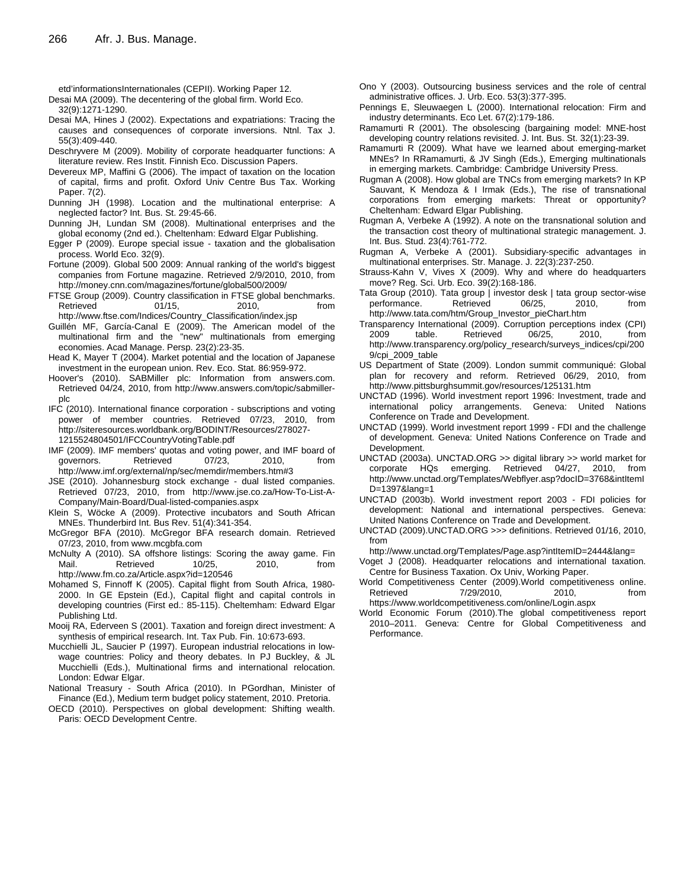etd'informationsInternationales (CEPII). Working Paper 12.

Desai MA (2009). The decentering of the global firm. World Eco.

- 32(9):1271-1290.
- Desai MA, Hines J (2002). Expectations and expatriations: Tracing the causes and consequences of corporate inversions. Ntnl. Tax J. 55(3):409-440.
- Deschryvere M (2009). Mobility of corporate headquarter functions: A literature review. Res Instit. Finnish Eco. Discussion Papers.
- Devereux MP, Maffini G (2006). The impact of taxation on the location of capital, firms and profit. Oxford Univ Centre Bus Tax. Working Paper. 7(2).
- Dunning JH (1998). Location and the multinational enterprise: A neglected factor? Int. Bus. St. 29:45-66.
- Dunning JH, Lundan SM (2008). Multinational enterprises and the global economy (2nd ed.). Cheltenham: Edward Elgar Publishing.
- Egger P (2009). Europe special issue taxation and the globalisation process. World Eco. 32(9).
- Fortune (2009). Global 500 2009: Annual ranking of the world's biggest companies from Fortune magazine. Retrieved 2/9/2010, 2010, from http://money.cnn.com/magazines/fortune/global500/2009/
- FTSE Group (2009). Country classification in FTSE global benchmarks. Retrieved 01/15, 2010, from http://www.ftse.com/Indices/Country\_Classification/index.jsp
- Guillén MF, García-Canal E (2009). The American model of the multinational firm and the "new" multinationals from emerging economies. Acad Manage. Persp. 23(2):23-35.
- Head K, Mayer T (2004). Market potential and the location of Japanese investment in the european union. Rev. Eco. Stat. 86:959-972.
- Hoover's (2010). SABMiller plc: Information from answers.com. Retrieved 04/24, 2010, from http://www.answers.com/topic/sabmillerplc
- IFC (2010). International finance corporation subscriptions and voting power of member countries. Retrieved 07/23, 2010, from http://siteresources.worldbank.org/BODINT/Resources/278027- 1215524804501/IFCCountryVotingTable.pdf
- IMF (2009). IMF members' quotas and voting power, and IMF board of governors. Retrieved 07/23, 2010, from http://www.imf.org/external/np/sec/memdir/members.htm#3
- JSE (2010). Johannesburg stock exchange dual listed companies. Retrieved 07/23, 2010, from http://www.jse.co.za/How-To-List-A-Company/Main-Board/Dual-listed-companies.aspx
- Klein S, Wöcke A (2009). Protective incubators and South African MNEs. Thunderbird Int. Bus Rev. 51(4):341-354.
- McGregor BFA (2010). McGregor BFA research domain. Retrieved 07/23, 2010, from www.mcgbfa.com
- McNulty A (2010). SA offshore listings: Scoring the away game. Fin Mail. Retrieved 10/25, 2010, from http://www.fm.co.za/Article.aspx?id=120546
- Mohamed S, Finnoff K (2005). Capital flight from South Africa, 1980- 2000. In GE Epstein (Ed.), Capital flight and capital controls in developing countries (First ed.: 85-115). Cheltemham: Edward Elgar Publishing Ltd.
- Mooij RA, Ederveen S (2001). Taxation and foreign direct investment: A synthesis of empirical research. Int. Tax Pub. Fin. 10:673-693.
- Mucchielli JL, Saucier P (1997). European industrial relocations in lowwage countries: Policy and theory debates. In PJ Buckley, & JL Mucchielli (Eds.), Multinational firms and international relocation. London: Edwar Elgar.
- National Treasury South Africa (2010). In PGordhan, Minister of Finance (Ed.), Medium term budget policy statement, 2010. Pretoria.
- OECD (2010). Perspectives on global development: Shifting wealth. Paris: OECD Development Centre.
- Ono Y (2003). Outsourcing business services and the role of central administrative offices. J. Urb. Eco. 53(3):377-395.
- Pennings E, Sleuwaegen L (2000). International relocation: Firm and industry determinants. Eco Let. 67(2):179-186.
- Ramamurti R (2001). The obsolescing (bargaining model: MNE-host developing country relations revisited. J. Int. Bus. St. 32(1):23-39.
- Ramamurti R (2009). What have we learned about emerging-market MNEs? In RRamamurti, & JV Singh (Eds.), Emerging multinationals in emerging markets. Cambridge: Cambridge University Press.
- Rugman A (2008). How global are TNCs from emerging markets? In KP Sauvant, K Mendoza & I Irmak (Eds.), The rise of transnational corporations from emerging markets: Threat or opportunity? Cheltenham: Edward Elgar Publishing.
- Rugman A, Verbeke A (1992). A note on the transnational solution and the transaction cost theory of multinational strategic management. J. Int. Bus. Stud. 23(4):761-772.
- Rugman A, Verbeke A (2001). Subsidiary-specific advantages in multinational enterprises. Str. Manage. J. 22(3):237-250.
- Strauss-Kahn V, Vives X (2009). Why and where do headquarters move? Reg. Sci. Urb. Eco. 39(2):168-186.
- Tata Group (2010). Tata group | investor desk | tata group sector-wise performance. Retrieved 06/25, 2010, from http://www.tata.com/htm/Group\_Investor\_pieChart.htm
- Transparency International (2009). Corruption perceptions index (CPI) 2009 table. Retrieved 06/25, 2010, from http://www.transparency.org/policy\_research/surveys\_indices/cpi/200 9/cpi\_2009\_table
- US Department of State (2009). London summit communiqué: Global plan for recovery and reform. Retrieved 06/29, 2010, from http://www.pittsburghsummit.gov/resources/125131.htm
- UNCTAD (1996). World investment report 1996: Investment, trade and international policy arrangements. Geneva: United Nations Conference on Trade and Development.
- UNCTAD (1999). World investment report 1999 FDI and the challenge of development. Geneva: United Nations Conference on Trade and Development.
- UNCTAD (2003a). UNCTAD.ORG >> digital library >> world market for corporate HQs emerging. Retrieved 04/27, 2010, from http://www.unctad.org/Templates/Webflyer.asp?docID=3768&intItemI D=1397&lang=1
- UNCTAD (2003b). World investment report 2003 FDI policies for development: National and international perspectives. Geneva: United Nations Conference on Trade and Development.
- UNCTAD (2009).UNCTAD.ORG >>> definitions. Retrieved 01/16, 2010, from
	- http://www.unctad.org/Templates/Page.asp?intItemID=2444&lang=
- Voget J (2008). Headquarter relocations and international taxation. Centre for Business Taxation. Ox Univ, Working Paper.
- World Competitiveness Center (2009).World competitiveness online. Retrieved 7/29/2010, 2010, from https://www.worldcompetitiveness.com/online/Login.aspx
- World Economic Forum (2010).The global competitiveness report 2010–2011. Geneva: Centre for Global Competitiveness and Performance.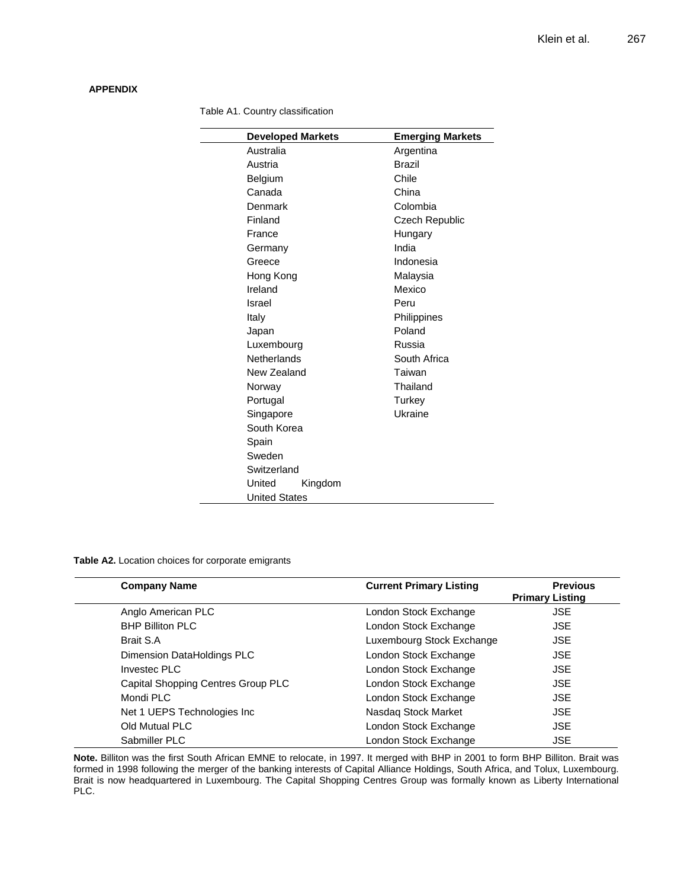# **APPENDIX**

| <b>Developed Markets</b> | <b>Emerging Markets</b> |
|--------------------------|-------------------------|
| Australia                | Argentina               |
| Austria                  | <b>Brazil</b>           |
| Belgium                  | Chile                   |
| Canada                   | China                   |
| Denmark                  | Colombia                |
| Finland                  | Czech Republic          |
| France                   | Hungary                 |
| Germany                  | India                   |
| Greece                   | Indonesia               |
| Hong Kong                | Malaysia                |
| Ireland                  | Mexico                  |
| Israel                   | Peru                    |
| Italy                    | Philippines             |
| Japan                    | Poland                  |
| Luxembourg               | Russia                  |
| <b>Netherlands</b>       | South Africa            |
| New Zealand              | Taiwan                  |
| Norway                   | Thailand                |
| Portugal                 | Turkey                  |
| Singapore                | Ukraine                 |
| South Korea              |                         |
| Spain                    |                         |
| Sweden                   |                         |
| Switzerland              |                         |
| United<br>Kingdom        |                         |
| <b>United States</b>     |                         |

Table A1. Country classification

**Table A2.** Location choices for corporate emigrants

| <b>Company Name</b>                | <b>Current Primary Listing</b> | <b>Previous</b><br><b>Primary Listing</b> |
|------------------------------------|--------------------------------|-------------------------------------------|
| Anglo American PLC                 | London Stock Exchange          | <b>JSE</b>                                |
| <b>BHP Billiton PLC</b>            | London Stock Exchange          | <b>JSE</b>                                |
| Brait S.A                          | Luxembourg Stock Exchange      | <b>JSE</b>                                |
| Dimension DataHoldings PLC         | London Stock Exchange          | <b>JSE</b>                                |
| Investec PLC                       | London Stock Exchange          | <b>JSE</b>                                |
| Capital Shopping Centres Group PLC | London Stock Exchange          | <b>JSE</b>                                |
| Mondi PLC                          | London Stock Exchange          | <b>JSE</b>                                |
| Net 1 UEPS Technologies Inc        | Nasdaq Stock Market            | <b>JSE</b>                                |
| Old Mutual PLC                     | London Stock Exchange          | <b>JSE</b>                                |
| Sabmiller PLC                      | London Stock Exchange          | <b>JSE</b>                                |

**Note.** Billiton was the first South African EMNE to relocate, in 1997. It merged with BHP in 2001 to form BHP Billiton. Brait was formed in 1998 following the merger of the banking interests of Capital Alliance Holdings, South Africa, and Tolux, Luxembourg. Brait is now headquartered in Luxembourg. The Capital Shopping Centres Group was formally known as Liberty International PLC.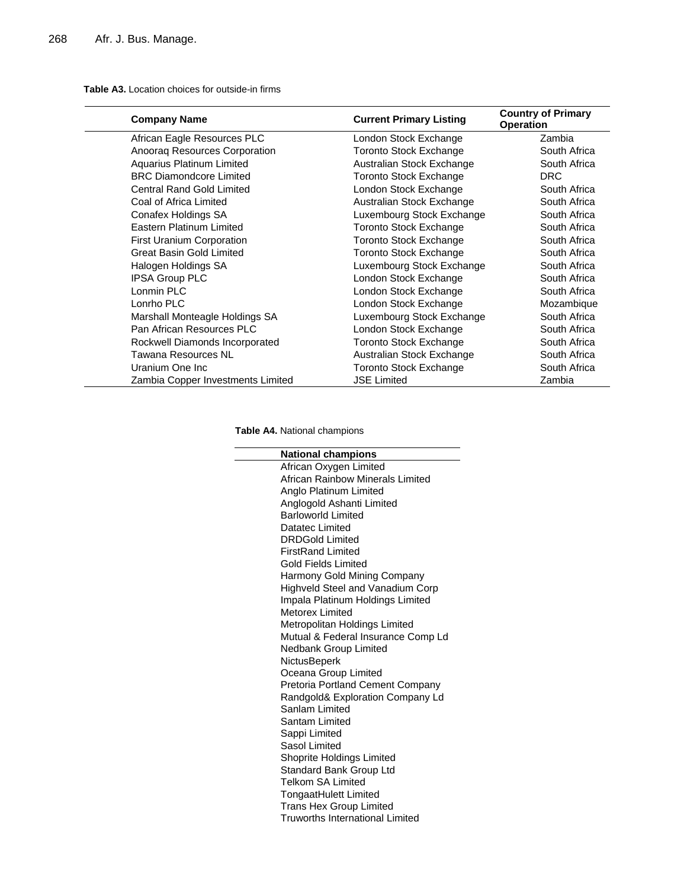| <b>Table A3.</b> Location choices for outside-in firms |  |
|--------------------------------------------------------|--|
|--------------------------------------------------------|--|

| <b>Company Name</b>               | <b>Current Primary Listing</b> | <b>Country of Primary</b><br><b>Operation</b> |
|-----------------------------------|--------------------------------|-----------------------------------------------|
| African Eagle Resources PLC       | London Stock Exchange          | Zambia                                        |
| Anooraq Resources Corporation     | Toronto Stock Exchange         | South Africa                                  |
| Aquarius Platinum Limited         | Australian Stock Exchange      | South Africa                                  |
| <b>BRC Diamondcore Limited</b>    | <b>Toronto Stock Exchange</b>  | <b>DRC</b>                                    |
| <b>Central Rand Gold Limited</b>  | London Stock Exchange          | South Africa                                  |
| Coal of Africa Limited            | Australian Stock Exchange      | South Africa                                  |
| Conafex Holdings SA               | Luxembourg Stock Exchange      | South Africa                                  |
| Eastern Platinum Limited          | <b>Toronto Stock Exchange</b>  | South Africa                                  |
| <b>First Uranium Corporation</b>  | <b>Toronto Stock Exchange</b>  | South Africa                                  |
| <b>Great Basin Gold Limited</b>   | <b>Toronto Stock Exchange</b>  | South Africa                                  |
| Halogen Holdings SA               | Luxembourg Stock Exchange      | South Africa                                  |
| <b>IPSA Group PLC</b>             | London Stock Exchange          | South Africa                                  |
| Lonmin PLC                        | London Stock Exchange          | South Africa                                  |
| Lonrho PLC                        | London Stock Exchange          | Mozambique                                    |
| Marshall Monteagle Holdings SA    | Luxembourg Stock Exchange      | South Africa                                  |
| Pan African Resources PLC         | London Stock Exchange          | South Africa                                  |
| Rockwell Diamonds Incorporated    | Toronto Stock Exchange         | South Africa                                  |
| <b>Tawana Resources NL</b>        | Australian Stock Exchange      | South Africa                                  |
| Uranium One Inc                   | <b>Toronto Stock Exchange</b>  | South Africa                                  |
| Zambia Copper Investments Limited | <b>JSE Limited</b>             | Zambia                                        |

**Table A4.** National champions

| <b>National champions</b>              |
|----------------------------------------|
| African Oxygen Limited                 |
| African Rainbow Minerals Limited       |
| Anglo Platinum Limited                 |
| Anglogold Ashanti Limited              |
| <b>Barloworld Limited</b>              |
| Datatec Limited                        |
| <b>DRDGold Limited</b>                 |
| <b>FirstRand Limited</b>               |
| Gold Fields Limited                    |
| Harmony Gold Mining Company            |
| Highveld Steel and Vanadium Corp       |
| Impala Platinum Holdings Limited       |
| Metorex Limited                        |
| Metropolitan Holdings Limited          |
| Mutual & Federal Insurance Comp Ld     |
| <b>Nedbank Group Limited</b>           |
| NictusBeperk                           |
| Oceana Group Limited                   |
| Pretoria Portland Cement Company       |
| Randgold& Exploration Company Ld       |
| Sanlam Limited                         |
| Santam Limited                         |
| Sappi Limited                          |
| Sasol Limited                          |
| Shoprite Holdings Limited              |
| Standard Bank Group Ltd                |
| Telkom SA Limited                      |
| TongaatHulett Limited                  |
| <b>Trans Hex Group Limited</b>         |
| <b>Truworths International Limited</b> |